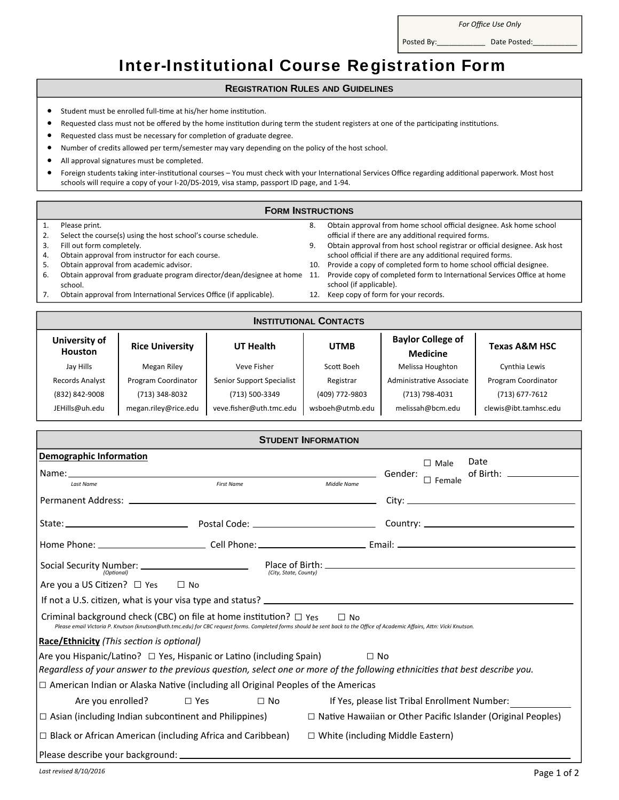*For Office Use Only*

Posted By:\_\_\_\_\_\_\_\_\_\_\_\_ Date Posted:\_\_\_\_\_\_\_\_\_\_\_

## Inter-Institutional Course Registration Form

## **REGISTRATION RULES AND GUIDELINES**

- Student must be enrolled full-time at his/her home institution.
- Requested class must not be offered by the home institution during term the student registers at one of the participating institutions.
- **•** Requested class must be necessary for completion of graduate degree.
- Number of credits allowed per term/semester may vary depending on the policy of the host school.
- All approval signatures must be completed.
- Foreign students taking inter-institutional courses You must check with your International Services Office regarding additional paperwork. Most host schools will require a copy of your I-20/DS-2019, visa stamp, passport ID page, and 1-94.

## **FORM INSTRUCTIONS**

|    | Please print.                                                            | 8.  | Obtain approval from home school official designee. Ask home school       |
|----|--------------------------------------------------------------------------|-----|---------------------------------------------------------------------------|
|    | Select the course(s) using the host school's course schedule.            |     | official if there are any additional required forms.                      |
|    | Fill out form completely.                                                |     | Obtain approval from host school registrar or official designee. Ask host |
|    | Obtain approval from instructor for each course.                         |     | school official if there are any additional required forms.               |
|    | Obtain approval from academic advisor.                                   | 10. | Provide a copy of completed form to home school official designee.        |
| ь. | Obtain approval from graduate program director/dean/designee at home 11. |     | Provide copy of completed form to International Services Office at home   |
|    | school.                                                                  |     | school (if applicable).                                                   |
|    | Obtain approval from International Services Office (if applicable).      | 12. | Keep copy of form for your records.                                       |

| <b>INSTITUTIONAL CONTACTS</b>   |                        |                           |                 |                                             |                          |  |  |  |  |
|---------------------------------|------------------------|---------------------------|-----------------|---------------------------------------------|--------------------------|--|--|--|--|
| University of<br><b>Houston</b> | <b>Rice University</b> | UT Health                 | <b>UTMB</b>     | <b>Baylor College of</b><br><b>Medicine</b> | <b>Texas A&amp;M HSC</b> |  |  |  |  |
| Jay Hills                       | Megan Riley            | Veve Fisher               | Scott Boeh      | Melissa Houghton                            | Cynthia Lewis            |  |  |  |  |
| Records Analyst                 | Program Coordinator    | Senior Support Specialist | Registrar       | Administrative Associate                    | Program Coordinator      |  |  |  |  |
| (832) 842-9008                  | (713) 348-8032         | (713) 500-3349            | (409) 772-9803  | (713) 798-4031                              | $(713)$ 677-7612         |  |  |  |  |
| JEHills@uh.edu                  | megan.riley@rice.edu   | veve.fisher@uth.tmc.edu   | wsboeh@utmb.edu | melissah@bcm.edu                            | clewis@ibt.tamhsc.edu    |  |  |  |  |

| <b>STUDENT INFORMATION</b>                                                                                                                                                                                                                                        |                                           |                                                                                                                                  |  |  |  |  |  |  |
|-------------------------------------------------------------------------------------------------------------------------------------------------------------------------------------------------------------------------------------------------------------------|-------------------------------------------|----------------------------------------------------------------------------------------------------------------------------------|--|--|--|--|--|--|
| Demographic Information                                                                                                                                                                                                                                           |                                           | Date<br>$\Box$ Male                                                                                                              |  |  |  |  |  |  |
| Name: Gender:                                                                                                                                                                                                                                                     |                                           | of Birth: _______________<br>$\Box$ Female                                                                                       |  |  |  |  |  |  |
| Last Name                                                                                                                                                                                                                                                         | <b>First Name</b>                         | Middle Name                                                                                                                      |  |  |  |  |  |  |
|                                                                                                                                                                                                                                                                   |                                           |                                                                                                                                  |  |  |  |  |  |  |
|                                                                                                                                                                                                                                                                   |                                           |                                                                                                                                  |  |  |  |  |  |  |
|                                                                                                                                                                                                                                                                   |                                           |                                                                                                                                  |  |  |  |  |  |  |
|                                                                                                                                                                                                                                                                   |                                           | Social Security Number: $\frac{Place\ of\ Birth:  \frac{1}{(C(t) \cdot State\ Count\ of\ })}{C(t) \cdot State\ Count\ of\ }$     |  |  |  |  |  |  |
| Are you a US Citizen? $\Box$ Yes $\Box$ No                                                                                                                                                                                                                        |                                           |                                                                                                                                  |  |  |  |  |  |  |
|                                                                                                                                                                                                                                                                   |                                           |                                                                                                                                  |  |  |  |  |  |  |
| Criminal background check (CBC) on file at home institution? $\Box$ Yes<br>$\Box$ No<br>Please email Victoria P. Knutson (knutson@uth.tmc.edu) for CBC request forms. Completed forms should be sent back to the Office of Academic Affairs, Attn: Vicki Knutson. |                                           |                                                                                                                                  |  |  |  |  |  |  |
|                                                                                                                                                                                                                                                                   | Race/Ethnicity (This section is optional) |                                                                                                                                  |  |  |  |  |  |  |
| Are you Hispanic/Latino? $\Box$ Yes, Hispanic or Latino (including Spain)<br>$\Box$ No                                                                                                                                                                            |                                           |                                                                                                                                  |  |  |  |  |  |  |
| Regardless of your answer to the previous question, select one or more of the following ethnicities that best describe you.                                                                                                                                       |                                           |                                                                                                                                  |  |  |  |  |  |  |
| $\Box$ American Indian or Alaska Native (including all Original Peoples of the Americas                                                                                                                                                                           |                                           |                                                                                                                                  |  |  |  |  |  |  |
|                                                                                                                                                                                                                                                                   | Are you enrolled? $\Box$ Yes $\Box$ No    | If Yes, please list Tribal Enrollment Number:                                                                                    |  |  |  |  |  |  |
|                                                                                                                                                                                                                                                                   |                                           | $\Box$ Asian (including Indian subcontinent and Philippines) $\Box$ Native Hawaiian or Other Pacific Islander (Original Peoples) |  |  |  |  |  |  |
| $\Box$ Black or African American (including Africa and Caribbean)                                                                                                                                                                                                 |                                           | $\Box$ White (including Middle Eastern)                                                                                          |  |  |  |  |  |  |
|                                                                                                                                                                                                                                                                   |                                           |                                                                                                                                  |  |  |  |  |  |  |